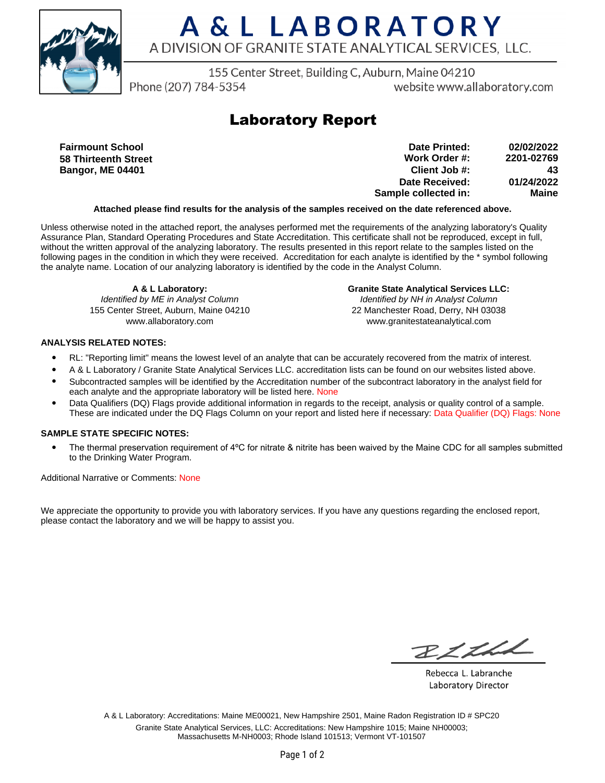

# A & L LABORATORY A DIVISION OF GRANITE STATE ANALYTICAL SERVICES, LLC.

155 Center Street, Building C, Auburn, Maine 04210

Phone (207) 784-5354

website www.allaboratory.com

### **Laboratory Report**

**Fairmount School 58 Thirteenth Street Bangor, ME 04401**

**Work Order #: Client Job #: Date Received: Sample collected in: 2201-02769 43 01/24/2022 Maine Date Printed: 02/02/2022**

#### **Attached please find results for the analysis of the samples received on the date referenced above.**

Unless otherwise noted in the attached report, the analyses performed met the requirements of the analyzing laboratory's Quality Assurance Plan, Standard Operating Procedures and State Accreditation. This certificate shall not be reproduced, except in full, without the written approval of the analyzing laboratory. The results presented in this report relate to the samples listed on the following pages in the condition in which they were received. Accreditation for each analyte is identified by the \* symbol following the analyte name. Location of our analyzing laboratory is identified by the code in the Analyst Column.

**A & L Laboratory:** Identified by ME in Analyst Column 155 Center Street, Auburn, Maine 04210 www.allaboratory.com

**Granite State Analytical Services LLC:** Identified by NH in Analyst Column 22 Manchester Road, Derry, NH 03038 www.granitestateanalytical.com

### **ANALYSIS RELATED NOTES:**

- RL: "Reporting limit" means the lowest level of an analyte that can be accurately recovered from the matrix of interest.
- A & L Laboratory / Granite State Analytical Services LLC. accreditation lists can be found on our websites listed above.
- Subcontracted samples will be identified by the Accreditation number of the subcontract laboratory in the analyst field for each analyte and the appropriate laboratory will be listed here. None
- Data Qualifiers (DQ) Flags provide additional information in regards to the receipt, analysis or quality control of a sample. These are indicated under the DQ Flags Column on your report and listed here if necessary: Data Qualifier (DQ) Flags: None

#### **SAMPLE STATE SPECIFIC NOTES:**

• The thermal preservation requirement of 4°C for nitrate & nitrite has been waived by the Maine CDC for all samples submitted to the Drinking Water Program.

Additional Narrative or Comments: None

We appreciate the opportunity to provide you with laboratory services. If you have any questions regarding the enclosed report, please contact the laboratory and we will be happy to assist you.

RICHL

Rebecca L. Labranche Laboratory Director

A & L Laboratory: Accreditations: Maine ME00021, New Hampshire 2501, Maine Radon Registration ID # SPC20 Granite State Analytical Services, LLC: Accreditations: New Hampshire 1015; Maine NH00003; Massachusetts M-NH0003; Rhode Island 101513; Vermont VT-101507